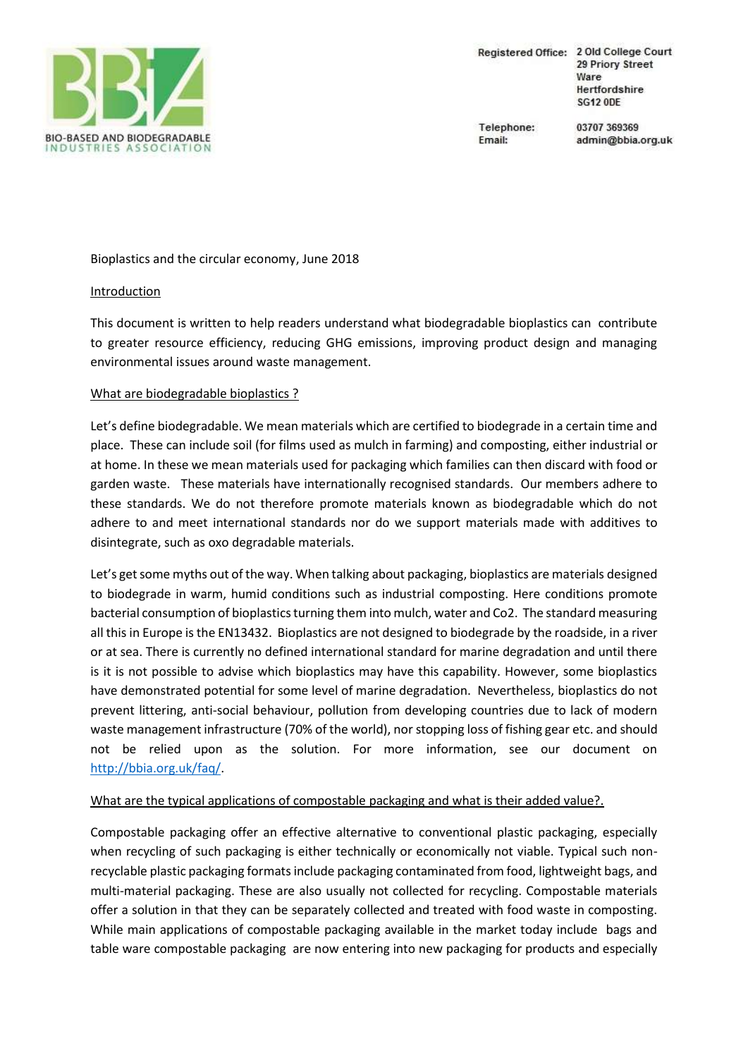

Registered Office: 2 Old College Court 29 Priory Street Ware Hertfordshire **SG12 ODE** 

Telephone: Email:

03707 369369 admin@bbia.org.uk

Bioplastics and the circular economy, June 2018

## Introduction

This document is written to help readers understand what biodegradable bioplastics can contribute to greater resource efficiency, reducing GHG emissions, improving product design and managing environmental issues around waste management.

# What are biodegradable bioplastics ?

Let's define biodegradable. We mean materials which are certified to biodegrade in a certain time and place. These can include soil (for films used as mulch in farming) and composting, either industrial or at home. In these we mean materials used for packaging which families can then discard with food or garden waste. These materials have internationally recognised standards. Our members adhere to these standards. We do not therefore promote materials known as biodegradable which do not adhere to and meet international standards nor do we support materials made with additives to disintegrate, such as oxo degradable materials.

Let's get some myths out of the way. When talking about packaging, bioplastics are materials designed to biodegrade in warm, humid conditions such as industrial composting. Here conditions promote bacterial consumption of bioplastics turning them into mulch, water and Co2. The standard measuring all this in Europe is the EN13432. Bioplastics are not designed to biodegrade by the roadside, in a river or at sea. There is currently no defined international standard for marine degradation and until there is it is not possible to advise which bioplastics may have this capability. However, some bioplastics have demonstrated potential for some level of marine degradation. Nevertheless, bioplastics do not prevent littering, anti-social behaviour, pollution from developing countries due to lack of modern waste management infrastructure (70% of the world), nor stopping loss of fishing gear etc. and should not be relied upon as the solution. For more information, see our document on [http://bbia.org.uk/faq/.](http://bbia.org.uk/faq/)

## What are the typical applications of compostable packaging and what is their added value?.

Compostable packaging offer an effective alternative to conventional plastic packaging, especially when recycling of such packaging is either technically or economically not viable. Typical such nonrecyclable plastic packaging formats include packaging contaminated from food, lightweight bags, and multi-material packaging. These are also usually not collected for recycling. Compostable materials offer a solution in that they can be separately collected and treated with food waste in composting. While main applications of compostable packaging available in the market today include bags and table ware compostable packaging are now entering into new packaging for products and especially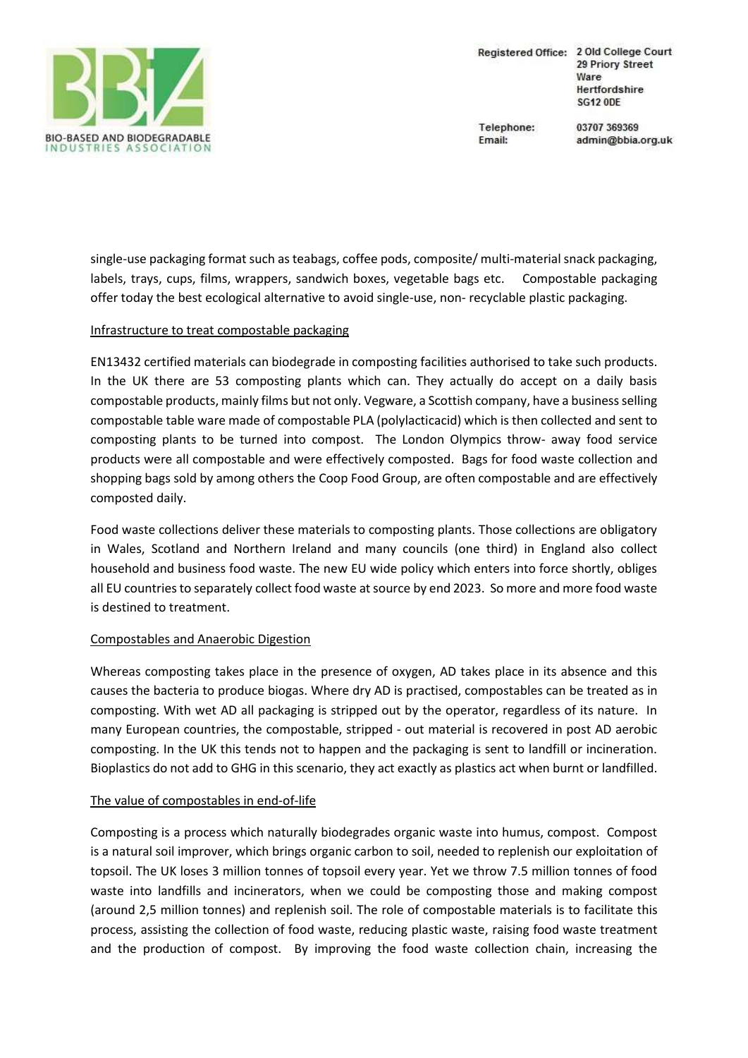

Registered Office: 2 Old College Court 29 Priory Street Ware Hertfordshire **SG12 ODE** 

Telephone: Email:

03707 369369 admin@bbia.org.uk

single-use packaging format such as teabags, coffee pods, composite/ multi-material snack packaging, labels, trays, cups, films, wrappers, sandwich boxes, vegetable bags etc. Compostable packaging offer today the best ecological alternative to avoid single-use, non- recyclable plastic packaging.

# Infrastructure to treat compostable packaging

EN13432 certified materials can biodegrade in composting facilities authorised to take such products. In the UK there are 53 composting plants which can. They actually do accept on a daily basis compostable products, mainly films but not only. Vegware, a Scottish company, have a business selling compostable table ware made of compostable PLA (polylacticacid) which is then collected and sent to composting plants to be turned into compost. The London Olympics throw- away food service products were all compostable and were effectively composted. Bags for food waste collection and shopping bags sold by among others the Coop Food Group, are often compostable and are effectively composted daily.

Food waste collections deliver these materials to composting plants. Those collections are obligatory in Wales, Scotland and Northern Ireland and many councils (one third) in England also collect household and business food waste. The new EU wide policy which enters into force shortly, obliges all EU countries to separately collect food waste at source by end 2023. So more and more food waste is destined to treatment.

## Compostables and Anaerobic Digestion

Whereas composting takes place in the presence of oxygen, AD takes place in its absence and this causes the bacteria to produce biogas. Where dry AD is practised, compostables can be treated as in composting. With wet AD all packaging is stripped out by the operator, regardless of its nature. In many European countries, the compostable, stripped - out material is recovered in post AD aerobic composting. In the UK this tends not to happen and the packaging is sent to landfill or incineration. Bioplastics do not add to GHG in this scenario, they act exactly as plastics act when burnt or landfilled.

## The value of compostables in end-of-life

Composting is a process which naturally biodegrades organic waste into humus, compost. Compost is a natural soil improver, which brings organic carbon to soil, needed to replenish our exploitation of topsoil. The UK loses 3 million tonnes of topsoil every year. Yet we throw 7.5 million tonnes of food waste into landfills and incinerators, when we could be composting those and making compost (around 2,5 million tonnes) and replenish soil. The role of compostable materials is to facilitate this process, assisting the collection of food waste, reducing plastic waste, raising food waste treatment and the production of compost. By improving the food waste collection chain, increasing the